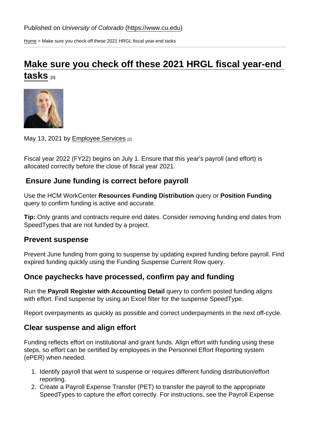[Home](https://www.cu.edu/) > Make sure you check off these 2021 HRGL fiscal year-end tasks

# [Make sure you check off these 2021 HRGL fiscal year-end](https://www.cu.edu/blog/hcm-community/make-sure-you-check-these-2021-hrgl-fiscal-year-end-tasks)  [tasks](https://www.cu.edu/blog/hcm-community/make-sure-you-check-these-2021-hrgl-fiscal-year-end-tasks) [1]

#### May 13, 2021 by [Employee Services](https://www.cu.edu/blog/hcm-community/author/34887) [2]

Fiscal year 2022 (FY22) begins on July 1. Ensure that this year's payroll (and effort) is allocated correctly before the close of fiscal year 2021.

Ensure June funding is correct before payroll

Use the HCM WorkCenter Resources Funding Distribution query or Position Funding query to confirm funding is active and accurate.

Tip: Only grants and contracts require end dates. Consider removing funding end dates from SpeedTypes that are not funded by a project.

#### Prevent suspense

Prevent June funding from going to suspense by updating expired funding before payroll. Find expired funding quickly using the Funding Suspense Current Row query.

Once paychecks have processed, confirm pay and funding

Run the Payroll Register with Accounting Detail guery to confirm posted funding aligns with effort. Find suspense by using an Excel filter for the suspense SpeedType.

Report overpayments as quickly as possible and correct underpayments in the next off-cycle.

Clear suspense and align effort

Funding reflects effort on institutional and grant funds. Align effort with funding using these steps, so effort can be certified by employees in the Personnel Effort Reporting system (ePER) when needed.

- 1. Identify payroll that went to suspense or requires different funding distribution/effort reporting.
- 2. Create a Payroll Expense Transfer (PET) to transfer the payroll to the appropriate SpeedTypes to capture the effort correctly. For instructions, see the Payroll Expense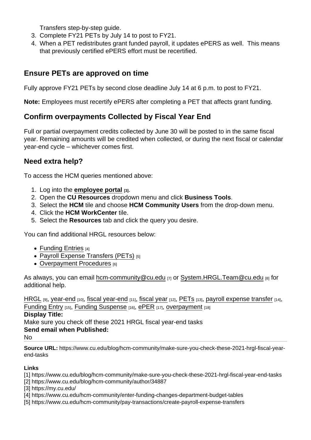Transfers step-by-step guide.

- 3. Complete FY21 PETs by July 14 to post to FY21.
- 4. When a PET redistributes grant funded payroll, it updates ePERS as well. This means that previously certified ePERS effort must be recertified.

## Ensure PETs are approved on time

Fully approve FY21 PETs by second close deadline July 14 at 6 p.m. to post to FY21.

Note: Employees must recertify ePERS after completing a PET that affects grant funding.

## Confirm overpayments Collected by Fiscal Year End

Full or partial overpayment credits collected by June 30 will be posted to in the same fiscal year. Remaining amounts will be credited when collected, or during the next fiscal or calendar year-end cycle – whichever comes first.

### Need extra help?

To access the HCM queries mentioned above:

- 1. Log into the [employee portal](https://my.cu.edu/)  $[3]$ .
- 2. Open the CU Resources dropdown menu and click Business Tools .
- 3. Select the HCM tile and choose HCM Community Users from the drop-down menu.
- 4. Click the HCM WorkCenter tile.
- 5. Select the Resources tab and click the query you desire.

You can find additional HRGL resources below:

- $\bullet$  [Funding Entries](https://www.cu.edu/hcm-community/enter-funding-changes-department-budget-tables) [4]
- [Payroll Expense Transfers \(PETs\)](https://www.cu.edu/hcm-community/pay-transactions/create-payroll-expense-transfers)  $[5]$
- [Overpayment Procedures](https://www.cu.edu/docs/es-procedure-overpayment) [6]

As always, you can email [hcm-community@cu.edu](mailto:hcm-community@cu.edu) [7] or [System.HRGL.Team@cu.edu](mailto:System.HRGL.Team@cu.edu) [8] for additional help.

[HRGL](https://www.cu.edu/blog/hcm-community/tag/hrgl) [9], [year-end](https://www.cu.edu/blog/hcm-community/tag/year-end) [10], [fiscal year-end](https://www.cu.edu/blog/hcm-community/tag/fiscal-year-end) [11], [fiscal year](https://www.cu.edu/blog/hcm-community/tag/fiscal-year) [12], [PETs](https://www.cu.edu/blog/hcm-community/tag/pets) [13], [payroll expense transfer](https://www.cu.edu/blog/hcm-community/tag/payroll-expense-transfer) [14], [Funding Entry](https://www.cu.edu/blog/hcm-community/tag/funding-entry) [15], [Funding Suspense](https://www.cu.edu/blog/hcm-community/tag/funding-suspense) [16], [ePER](https://www.cu.edu/blog/hcm-community/tag/eper) [17], [overpayment](https://www.cu.edu/blog/hcm-community/tag/overpayment) [18]

Display Title:

Make sure you check off these 2021 HRGL fiscal year-end tasks

Send email when Published:

No

Source URL: https://www.cu.edu/blog/hcm-community/make-sure-you-check-these-2021-hrgl-fiscal-yearend-tasks

Links

[1] https://www.cu.edu/blog/hcm-community/make-sure-you-check-these-2021-hrgl-fiscal-year-end-tasks

[2] https://www.cu.edu/blog/hcm-community/author/34887

[3] https://my.cu.edu/

- [4] https://www.cu.edu/hcm-community/enter-funding-changes-department-budget-tables
- [5] https://www.cu.edu/hcm-community/pay-transactions/create-payroll-expense-transfers